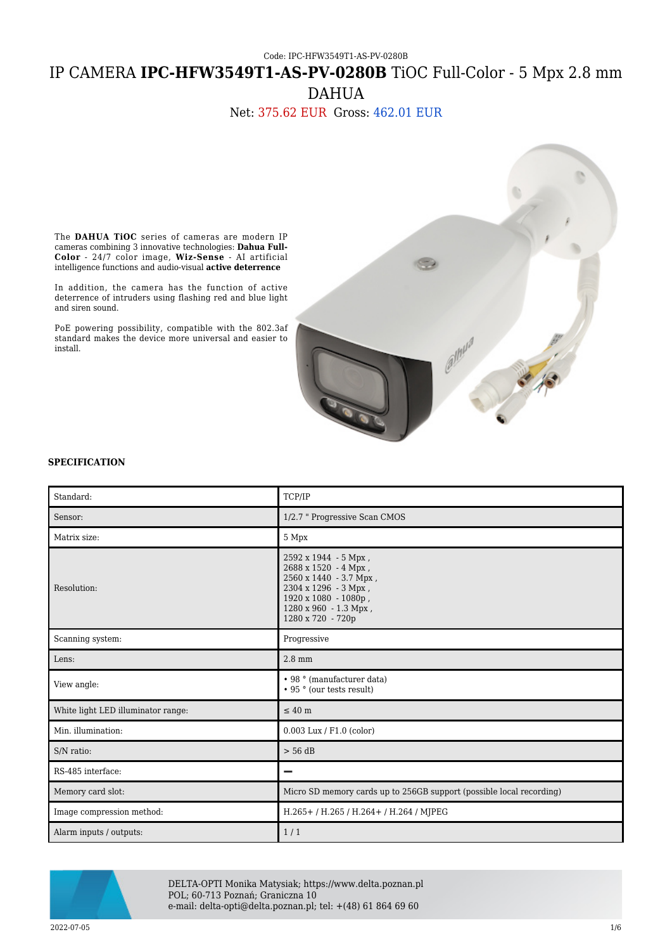Code: IPC-HFW3549T1-AS-PV-0280B

# IP CAMERA **IPC-HFW3549T1-AS-PV-0280B** TiOC Full-Color - 5 Mpx 2.8 mm DAHUA

## Net: 375.62 EUR Gross: 462.01 EUR

The **DAHUA TiOC** series of cameras are modern IP cameras combining 3 innovative technologies: **Dahua Full-Color** - 24/7 color image, **Wiz-Sense** - AI artificial intelligence functions and audio-visual **active deterrence**

In addition, the camera has the function of active deterrence of intruders using flashing red and blue light and siren sound.

PoE powering possibility, compatible with the 802.3af standard makes the device more universal and easier to install.



#### **SPECIFICATION**

| Standard:                          | TCP/IP                                                                                                                                                                |
|------------------------------------|-----------------------------------------------------------------------------------------------------------------------------------------------------------------------|
| Sensor:                            | 1/2.7 " Progressive Scan CMOS                                                                                                                                         |
| Matrix size:                       | 5 Mpx                                                                                                                                                                 |
| Resolution:                        | 2592 x 1944 - 5 Mpx,<br>2688 x 1520 - 4 Mpx ,<br>2560 x 1440 - 3.7 Mpx,<br>2304 x 1296 - 3 Mpx,<br>1920 x 1080 - 1080p,<br>1280 x 960 - 1.3 Mpx,<br>1280 x 720 - 720p |
| Scanning system:                   | Progressive                                                                                                                                                           |
| Lens:                              | $2.8$ mm                                                                                                                                                              |
| View angle:                        | • 98 ° (manufacturer data)<br>• 95 ° (our tests result)                                                                                                               |
| White light LED illuminator range: | $\leq 40$ m                                                                                                                                                           |
| Min. illumination:                 | $0.003$ Lux / F1.0 (color)                                                                                                                                            |
| S/N ratio:                         | $> 56$ dB                                                                                                                                                             |
| RS-485 interface:                  |                                                                                                                                                                       |
| Memory card slot:                  | Micro SD memory cards up to 256GB support (possible local recording)                                                                                                  |
| Image compression method:          | H.265+/H.265/H.264+/H.264/MJPEG                                                                                                                                       |
| Alarm inputs / outputs:            | 1/1                                                                                                                                                                   |



DELTA-OPTI Monika Matysiak; https://www.delta.poznan.pl POL; 60-713 Poznań; Graniczna 10 e-mail: delta-opti@delta.poznan.pl; tel: +(48) 61 864 69 60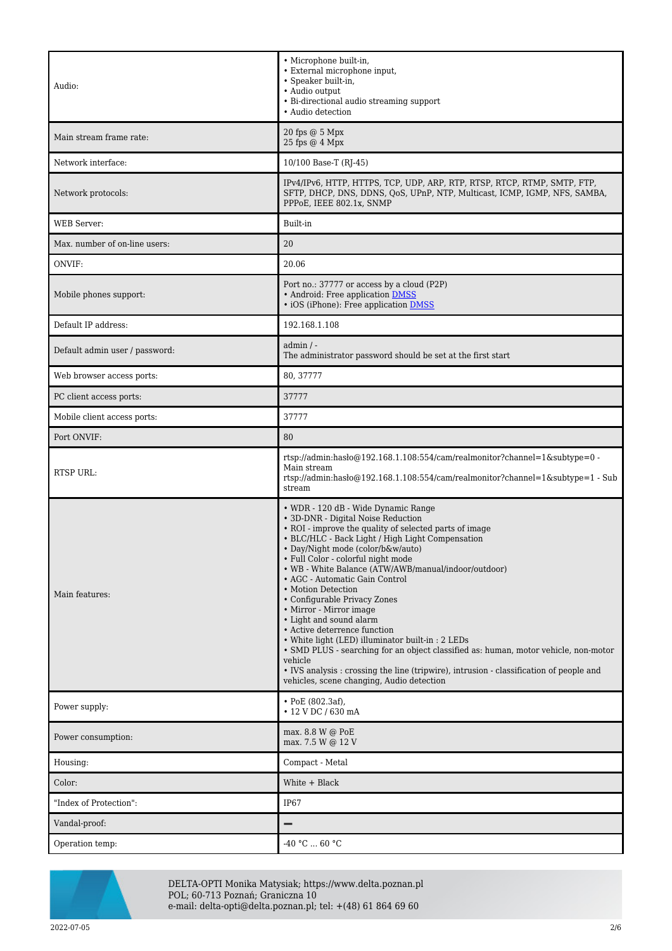| Audio:                         | • Microphone built-in,<br>• External microphone input,<br>· Speaker built-in,<br>• Audio output<br>• Bi-directional audio streaming support<br>• Audio detection                                                                                                                                                                                                                                                                                                                                                                                                                                                                                                                                                                                                                                        |
|--------------------------------|---------------------------------------------------------------------------------------------------------------------------------------------------------------------------------------------------------------------------------------------------------------------------------------------------------------------------------------------------------------------------------------------------------------------------------------------------------------------------------------------------------------------------------------------------------------------------------------------------------------------------------------------------------------------------------------------------------------------------------------------------------------------------------------------------------|
| Main stream frame rate:        | 20 fps @ 5 Mpx<br>25 fps @ 4 Mpx                                                                                                                                                                                                                                                                                                                                                                                                                                                                                                                                                                                                                                                                                                                                                                        |
| Network interface:             | 10/100 Base-T (RJ-45)                                                                                                                                                                                                                                                                                                                                                                                                                                                                                                                                                                                                                                                                                                                                                                                   |
| Network protocols:             | IPv4/IPv6, HTTP, HTTPS, TCP, UDP, ARP, RTP, RTSP, RTCP, RTMP, SMTP, FTP,<br>SFTP, DHCP, DNS, DDNS, QoS, UPnP, NTP, Multicast, ICMP, IGMP, NFS, SAMBA,<br>PPPoE, IEEE 802.1x, SNMP                                                                                                                                                                                                                                                                                                                                                                                                                                                                                                                                                                                                                       |
| <b>WEB</b> Server:             | Built-in                                                                                                                                                                                                                                                                                                                                                                                                                                                                                                                                                                                                                                                                                                                                                                                                |
| Max. number of on-line users:  | 20                                                                                                                                                                                                                                                                                                                                                                                                                                                                                                                                                                                                                                                                                                                                                                                                      |
| ONVIF:                         | 20.06                                                                                                                                                                                                                                                                                                                                                                                                                                                                                                                                                                                                                                                                                                                                                                                                   |
| Mobile phones support:         | Port no.: 37777 or access by a cloud (P2P)<br>• Android: Free application DMSS<br>• iOS (iPhone): Free application <b>DMSS</b>                                                                                                                                                                                                                                                                                                                                                                                                                                                                                                                                                                                                                                                                          |
| Default IP address:            | 192.168.1.108                                                                                                                                                                                                                                                                                                                                                                                                                                                                                                                                                                                                                                                                                                                                                                                           |
| Default admin user / password: | admin / -<br>The administrator password should be set at the first start                                                                                                                                                                                                                                                                                                                                                                                                                                                                                                                                                                                                                                                                                                                                |
| Web browser access ports:      | 80, 37777                                                                                                                                                                                                                                                                                                                                                                                                                                                                                                                                                                                                                                                                                                                                                                                               |
| PC client access ports:        | 37777                                                                                                                                                                                                                                                                                                                                                                                                                                                                                                                                                                                                                                                                                                                                                                                                   |
| Mobile client access ports:    | 37777                                                                                                                                                                                                                                                                                                                                                                                                                                                                                                                                                                                                                                                                                                                                                                                                   |
| Port ONVIF:                    | 80                                                                                                                                                                                                                                                                                                                                                                                                                                                                                                                                                                                                                                                                                                                                                                                                      |
| <b>RTSP URL:</b>               | rtsp://admin:hasło@192.168.1.108:554/cam/realmonitor?channel=1&subtype=0 -<br>Main stream<br>rtsp://admin:haslo $@192.168.1.108.554$ /cam/realmonitor?channel=1&subtype=1 - Sub<br>stream                                                                                                                                                                                                                                                                                                                                                                                                                                                                                                                                                                                                               |
| Main features:                 | • WDR - 120 dB - Wide Dynamic Range<br>• 3D-DNR - Digital Noise Reduction<br>• ROI - improve the quality of selected parts of image<br>• BLC/HLC - Back Light / High Light Compensation<br>• Day/Night mode (color/b&w/auto)<br>· Full Color - colorful night mode<br>• WB - White Balance (ATW/AWB/manual/indoor/outdoor)<br>• AGC - Automatic Gain Control<br>• Motion Detection<br>• Configurable Privacy Zones<br>• Mirror - Mirror image<br>• Light and sound alarm<br>• Active deterrence function<br>• White light (LED) illuminator built-in : 2 LEDs<br>• SMD PLUS - searching for an object classified as: human, motor vehicle, non-motor<br>vehicle<br>• IVS analysis : crossing the line (tripwire), intrusion - classification of people and<br>vehicles, scene changing, Audio detection |
| Power supply:                  | $\cdot$ PoE (802.3af),<br>• 12 V DC / 630 mA                                                                                                                                                                                                                                                                                                                                                                                                                                                                                                                                                                                                                                                                                                                                                            |
| Power consumption:             | max. 8.8 W @ PoE<br>max. 7.5 W @ 12 V                                                                                                                                                                                                                                                                                                                                                                                                                                                                                                                                                                                                                                                                                                                                                                   |
| Housing:                       | Compact - Metal                                                                                                                                                                                                                                                                                                                                                                                                                                                                                                                                                                                                                                                                                                                                                                                         |
| Color:                         | White + Black                                                                                                                                                                                                                                                                                                                                                                                                                                                                                                                                                                                                                                                                                                                                                                                           |
| "Index of Protection":         | IP67                                                                                                                                                                                                                                                                                                                                                                                                                                                                                                                                                                                                                                                                                                                                                                                                    |
| Vandal-proof:                  |                                                                                                                                                                                                                                                                                                                                                                                                                                                                                                                                                                                                                                                                                                                                                                                                         |
| Operation temp:                | $-40 °C  60 °C$                                                                                                                                                                                                                                                                                                                                                                                                                                                                                                                                                                                                                                                                                                                                                                                         |



DELTA-OPTI Monika Matysiak; https://www.delta.poznan.pl POL; 60-713 Poznań; Graniczna 10 e-mail: delta-opti@delta.poznan.pl; tel: +(48) 61 864 69 60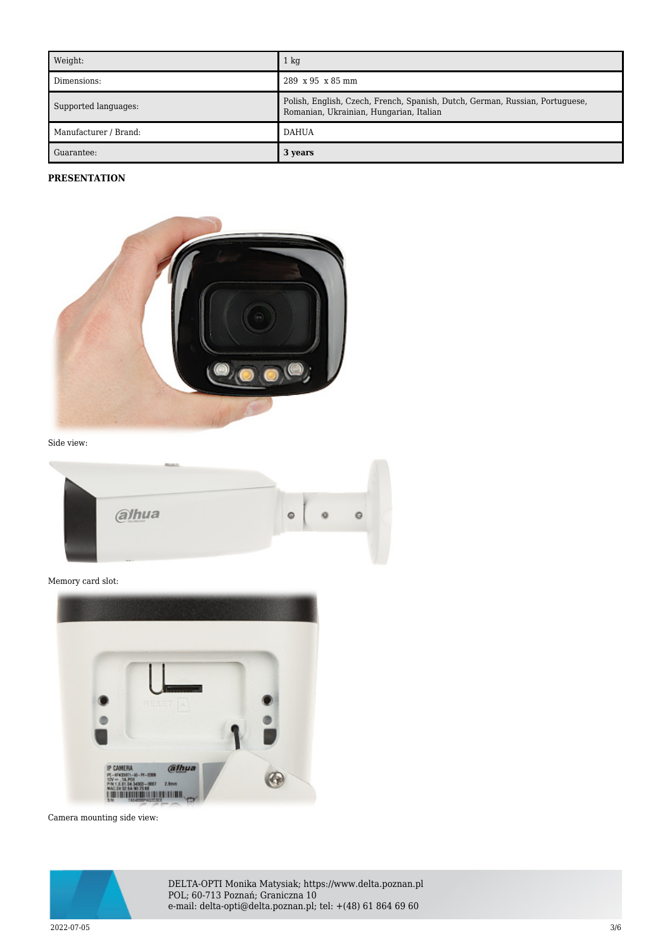| Weight:               | $1 \text{ kg}$                                                                                                          |
|-----------------------|-------------------------------------------------------------------------------------------------------------------------|
| Dimensions:           | $289 \times 95 \times 85$ mm                                                                                            |
| Supported languages:  | Polish, English, Czech, French, Spanish, Dutch, German, Russian, Portuguese,<br>Romanian, Ukrainian, Hungarian, Italian |
| Manufacturer / Brand: | <b>DAHUA</b>                                                                                                            |
| Guarantee:            | 3 years                                                                                                                 |

#### **PRESENTATION**



Side view:

| alhua | $\circ$ |  |
|-------|---------|--|
|       |         |  |

Memory card slot:



Camera mounting side view:



DELTA-OPTI Monika Matysiak; https://www.delta.poznan.pl POL; 60-713 Poznań; Graniczna 10 e-mail: delta-opti@delta.poznan.pl; tel: +(48) 61 864 69 60

 $2022$ -07-05  $3/6$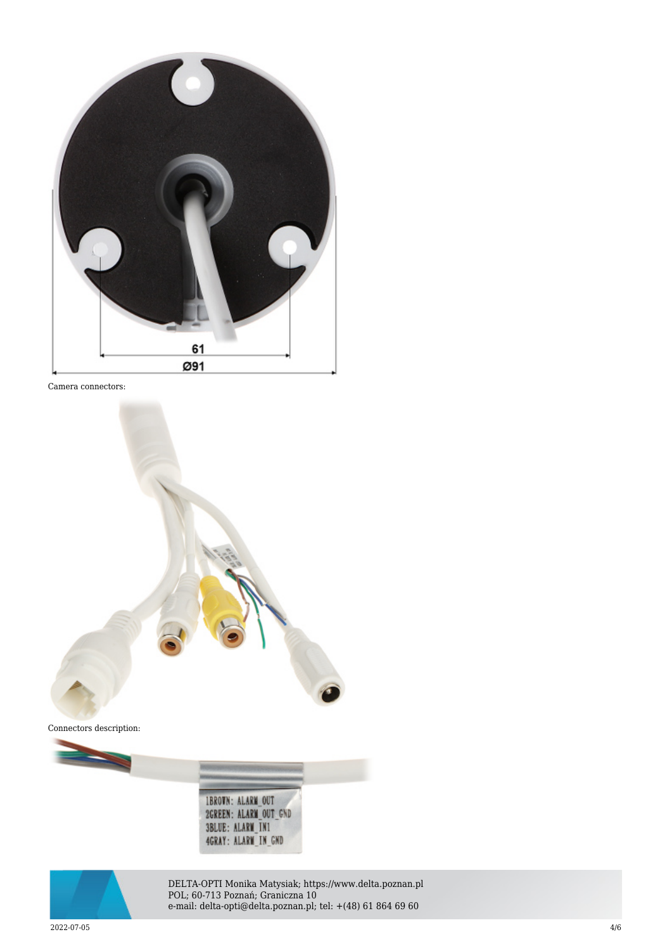

Camera connectors:







DELTA-OPTI Monika Matysiak; https://www.delta.poznan.pl POL; 60-713 Poznań; Graniczna 10 e-mail: delta-opti@delta.poznan.pl; tel: +(48) 61 864 69 60

 $2022$ -07-05  $4/6$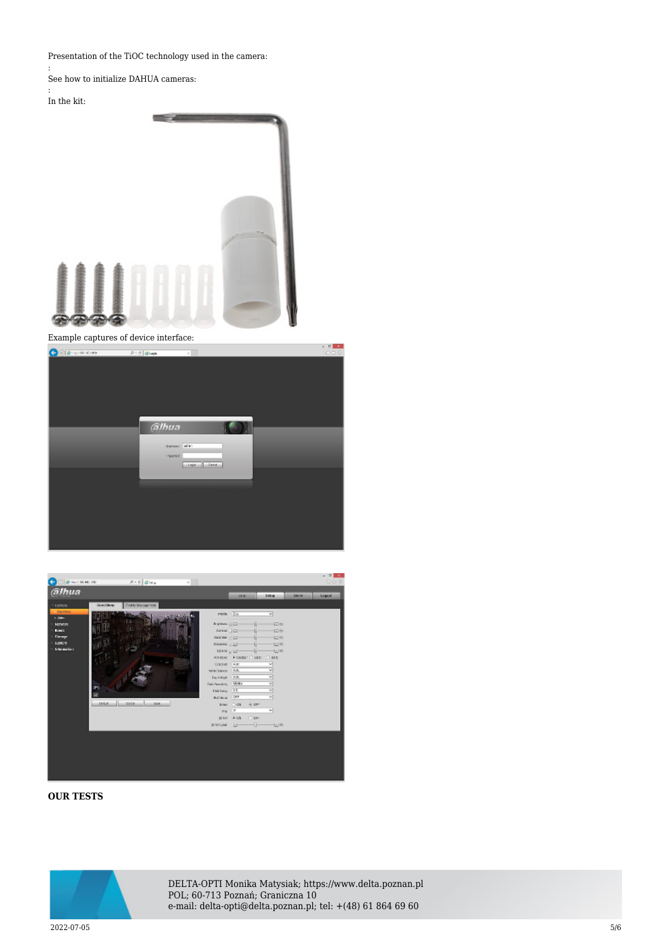Presentation of the TiOC technology used in the camera:

:

See how to initialize DAHUA cameras:

#### In the kit:

:



Example captures of device interface:





### **OUR TESTS**



DELTA-OPTI Monika Matysiak; https://www.delta.poznan.pl POL; 60-713 Poznań; Graniczna 10 e-mail: delta-opti@delta.poznan.pl; tel: +(48) 61 864 69 60

 $2022$ -07-05  $5/6$